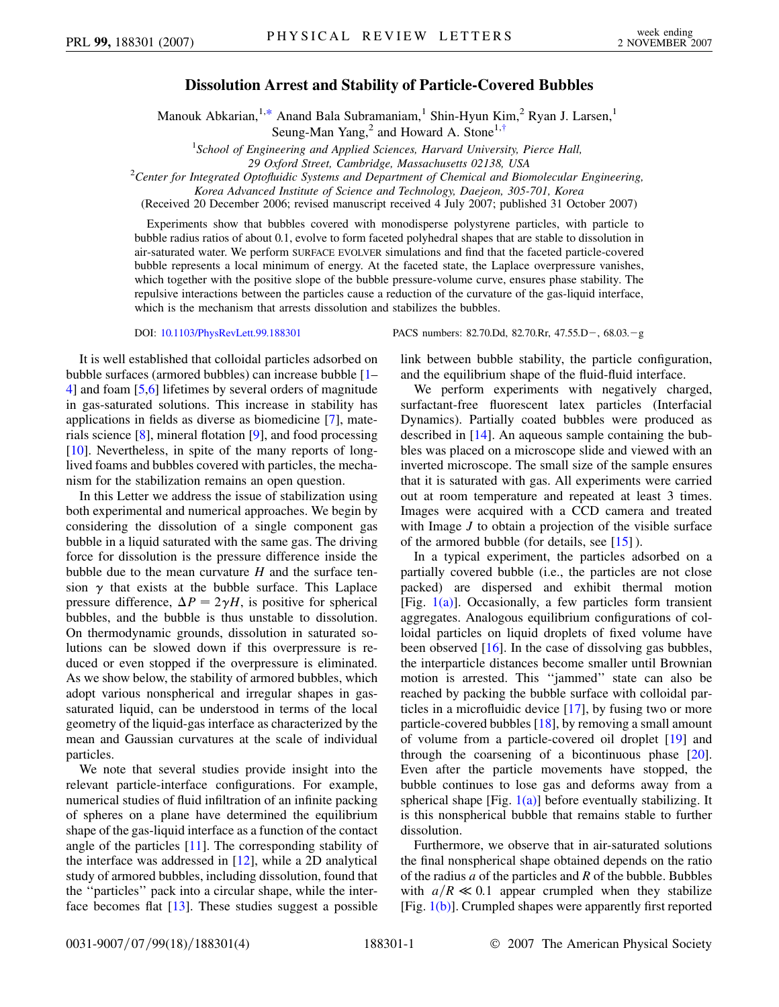## **Dissolution Arrest and Stability of Particle-Covered Bubbles**

Manouk Abkarian,<sup>1[,\\*](#page-3-0)</sup> Anand Bala Subramaniam,<sup>1</sup> Shin-Hyun Kim,<sup>2</sup> Ryan J. Larsen,<sup>1</sup> Seung-Man Yang,<sup>2</sup> and Howard A. Stone<sup>1[,†](#page-3-1)</sup>

<sup>1</sup>School of Engineering and Applied Sciences, Harvard University, Pierce Hall,

<span id="page-0-1"></span><span id="page-0-0"></span>*29 Oxford Street, Cambridge, Massachusetts 02138, USA* <sup>2</sup> *Center for Integrated Optofluidic Systems and Department of Chemical and Biomolecular Engineering,*

(Received 20 December 2006; revised manuscript received 4 July 2007; published 31 October 2007)

Experiments show that bubbles covered with monodisperse polystyrene particles, with particle to bubble radius ratios of about 0.1, evolve to form faceted polyhedral shapes that are stable to dissolution in air-saturated water. We perform SURFACE EVOLVER simulations and find that the faceted particle-covered bubble represents a local minimum of energy. At the faceted state, the Laplace overpressure vanishes, which together with the positive slope of the bubble pressure-volume curve, ensures phase stability. The repulsive interactions between the particles cause a reduction of the curvature of the gas-liquid interface, which is the mechanism that arrests dissolution and stabilizes the bubbles.

It is well established that colloidal particles adsorbed on bubble surfaces (armored bubbles) can increase bubble [[1–](#page-3-2) [4](#page-3-3)] and foam [[5](#page-3-4),[6\]](#page-3-5) lifetimes by several orders of magnitude in gas-saturated solutions. This increase in stability has applications in fields as diverse as biomedicine [[7\]](#page-3-6), materials science [[8\]](#page-3-7), mineral flotation [\[9](#page-3-8)], and food processing [\[10\]](#page-3-9). Nevertheless, in spite of the many reports of longlived foams and bubbles covered with particles, the mechanism for the stabilization remains an open question.

In this Letter we address the issue of stabilization using both experimental and numerical approaches. We begin by considering the dissolution of a single component gas bubble in a liquid saturated with the same gas. The driving force for dissolution is the pressure difference inside the bubble due to the mean curvature *H* and the surface tension  $\gamma$  that exists at the bubble surface. This Laplace pressure difference,  $\Delta P = 2\gamma H$ , is positive for spherical bubbles, and the bubble is thus unstable to dissolution. On thermodynamic grounds, dissolution in saturated solutions can be slowed down if this overpressure is reduced or even stopped if the overpressure is eliminated. As we show below, the stability of armored bubbles, which adopt various nonspherical and irregular shapes in gassaturated liquid, can be understood in terms of the local geometry of the liquid-gas interface as characterized by the mean and Gaussian curvatures at the scale of individual particles.

We note that several studies provide insight into the relevant particle-interface configurations. For example, numerical studies of fluid infiltration of an infinite packing of spheres on a plane have determined the equilibrium shape of the gas-liquid interface as a function of the contact angle of the particles [[11\]](#page-3-10). The corresponding stability of the interface was addressed in [\[12\]](#page-3-11), while a 2D analytical study of armored bubbles, including dissolution, found that the ''particles'' pack into a circular shape, while the interface becomes flat [\[13\]](#page-3-12). These studies suggest a possible

DOI: [10.1103/PhysRevLett.99.188301](http://dx.doi.org/10.1103/PhysRevLett.99.188301) PACS numbers: 82.70.Dd, 82.70.Rr, 47.55.D-, 68.03.-g

link between bubble stability, the particle configuration, and the equilibrium shape of the fluid-fluid interface.

We perform experiments with negatively charged, surfactant-free fluorescent latex particles (Interfacial Dynamics). Partially coated bubbles were produced as described in [[14](#page-3-13)]. An aqueous sample containing the bubbles was placed on a microscope slide and viewed with an inverted microscope. The small size of the sample ensures that it is saturated with gas. All experiments were carried out at room temperature and repeated at least 3 times. Images were acquired with a CCD camera and treated with Image *J* to obtain a projection of the visible surface of the armored bubble (for details, see [[15](#page-3-14)] ).

In a typical experiment, the particles adsorbed on a partially covered bubble (i.e., the particles are not close packed) are dispersed and exhibit thermal motion [Fig.  $1(a)$ ]. Occasionally, a few particles form transient aggregates. Analogous equilibrium configurations of colloidal particles on liquid droplets of fixed volume have been observed [[16](#page-3-15)]. In the case of dissolving gas bubbles, the interparticle distances become smaller until Brownian motion is arrested. This ''jammed'' state can also be reached by packing the bubble surface with colloidal particles in a microfluidic device [[17\]](#page-3-16), by fusing two or more particle-covered bubbles  $[18]$ , by removing a small amount of volume from a particle-covered oil droplet [\[19\]](#page-3-18) and through the coarsening of a bicontinuous phase  $[20]$  $[20]$ . Even after the particle movements have stopped, the bubble continues to lose gas and deforms away from a spherical shape [Fig.  $1(a)$ ] before eventually stabilizing. It is this nonspherical bubble that remains stable to further dissolution.

Furthermore, we observe that in air-saturated solutions the final nonspherical shape obtained depends on the ratio of the radius *a* of the particles and *R* of the bubble. Bubbles with  $a/R \ll 0.1$  appear crumpled when they stabilize [Fig. [1\(b\)\]](#page-1-0). Crumpled shapes were apparently first reported

*Korea Advanced Institute of Science and Technology, Daejeon, 305-701, Korea*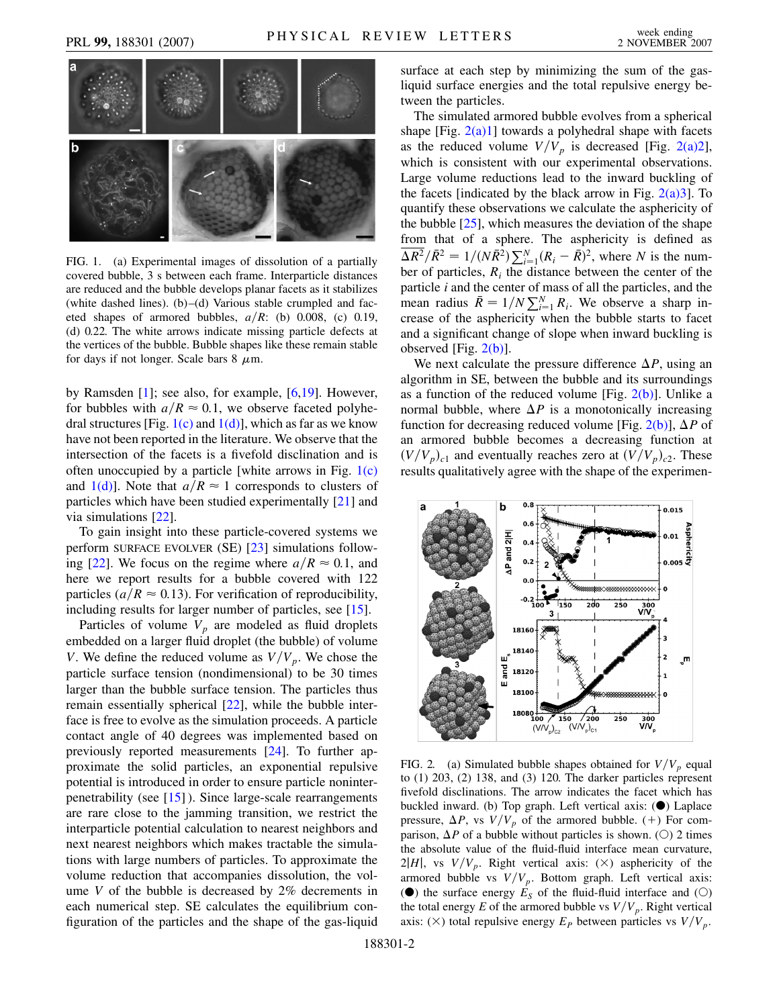

<span id="page-1-0"></span>FIG. 1. (a) Experimental images of dissolution of a partially covered bubble, 3 s between each frame. Interparticle distances are reduced and the bubble develops planar facets as it stabilizes (white dashed lines). (b)–(d) Various stable crumpled and faceted shapes of armored bubbles,  $a/R$ : (b) 0.008, (c) 0.19, (d) 0.22. The white arrows indicate missing particle defects at the vertices of the bubble. Bubble shapes like these remain stable for days if not longer. Scale bars  $8 \mu m$ .

by Ramsden [\[1](#page-3-2)]; see also, for example, [[6](#page-3-5),[19](#page-3-18)]. However, for bubbles with  $a/R \approx 0.1$ , we observe faceted polyhedral structures [Fig.  $1(c)$  and  $1(d)$ ], which as far as we know have not been reported in the literature. We observe that the intersection of the facets is a fivefold disclination and is often unoccupied by a particle [white arrows in Fig.  $1(c)$ ] and  $1(d)$ ]. Note that  $a/R \approx 1$  corresponds to clusters of particles which have been studied experimentally [\[21\]](#page-3-20) and via simulations [[22](#page-3-21)].

To gain insight into these particle-covered systems we perform SURFACE EVOLVER (SE) [\[23\]](#page-3-22) simulations follow-ing [[22](#page-3-21)]. We focus on the regime where  $a/R \approx 0.1$ , and here we report results for a bubble covered with 122 particles ( $a/R \approx 0.13$ ). For verification of reproducibility, including results for larger number of particles, see [[15](#page-3-14)].

Particles of volume  $V_p$  are modeled as fluid droplets embedded on a larger fluid droplet (the bubble) of volume *V*. We define the reduced volume as  $V/V_p$ . We chose the particle surface tension (nondimensional) to be 30 times larger than the bubble surface tension. The particles thus remain essentially spherical [\[22\]](#page-3-21), while the bubble interface is free to evolve as the simulation proceeds. A particle contact angle of 40 degrees was implemented based on previously reported measurements [\[24](#page-3-23)]. To further approximate the solid particles, an exponential repulsive potential is introduced in order to ensure particle noninterpenetrability (see [\[15](#page-3-14)] ). Since large-scale rearrangements are rare close to the jamming transition, we restrict the interparticle potential calculation to nearest neighbors and next nearest neighbors which makes tractable the simulations with large numbers of particles. To approximate the volume reduction that accompanies dissolution, the volume  $V$  of the bubble is decreased by  $2\%$  decrements in each numerical step. SE calculates the equilibrium configuration of the particles and the shape of the gas-liquid surface at each step by minimizing the sum of the gasliquid surface energies and the total repulsive energy between the particles.

The simulated armored bubble evolves from a spherical shape [Fig.  $2(a)1$ ] towards a polyhedral shape with facets as the reduced volume  $V/V_p$  is decreased [Fig. [2\(a\)2\]](#page-1-1), which is consistent with our experimental observations. Large volume reductions lead to the inward buckling of the facets [indicated by the black arrow in Fig.  $2(a)3$ ]. To quantify these observations we calculate the asphericity of the bubble [[25](#page-3-24)], which measures the deviation of the shape from that of a sphere. The asphericity is defined as  $\sqrt{\frac{\bar{R}^2}{R^2}} = 1/(N\bar{R}^2) \sum_{i=1}^{N} (R_i - \bar{R})^2$ , where *N* is the number of particles,  $R_i$  the distance between the center of the particle *i* and the center of mass of all the particles, and the mean radius  $\bar{R} = 1/N \sum_{i=1}^{N} R_i$ . We observe a sharp increase of the asphericity when the bubble starts to facet and a significant change of slope when inward buckling is observed [Fig.  $2(b)$ ].

We next calculate the pressure difference  $\Delta P$ , using an algorithm in SE, between the bubble and its surroundings as a function of the reduced volume [Fig.  $2(b)$ ]. Unlike a normal bubble, where  $\Delta P$  is a monotonically increasing function for decreasing reduced volume [Fig. [2\(b\)](#page-1-1)],  $\Delta P$  of an armored bubble becomes a decreasing function at  $(V/V_p)_{c1}$  and eventually reaches zero at  $(V/V_p)_{c2}$ . These results qualitatively agree with the shape of the experimen-



<span id="page-1-1"></span>FIG. 2. (a) Simulated bubble shapes obtained for  $V/V_p$  equal to (1) 203, (2) 138, and (3) 120. The darker particles represent fivefold disclinations. The arrow indicates the facet which has buckled inward. (b) Top graph. Left vertical axis:  $(\bullet)$  Laplace pressure,  $\Delta P$ , vs  $V/V_p$  of the armored bubble. (+) For comparison,  $\Delta P$  of a bubble without particles is shown. (O) 2 times the absolute value of the fluid-fluid interface mean curvature,  $2|H|$ , vs  $V/V_p$ . Right vertical axis: ( $\times$ ) asphericity of the armored bubble vs  $V/V_p$ . Bottom graph. Left vertical axis: ( $\bullet$ ) the surface energy  $E_S$  of the fluid-fluid interface and ( $\circ$ ) the total energy *E* of the armored bubble vs  $V/V_p$ . Right vertical axis: ( $\times$ ) total repulsive energy  $E_P$  between particles vs  $V/V_p$ .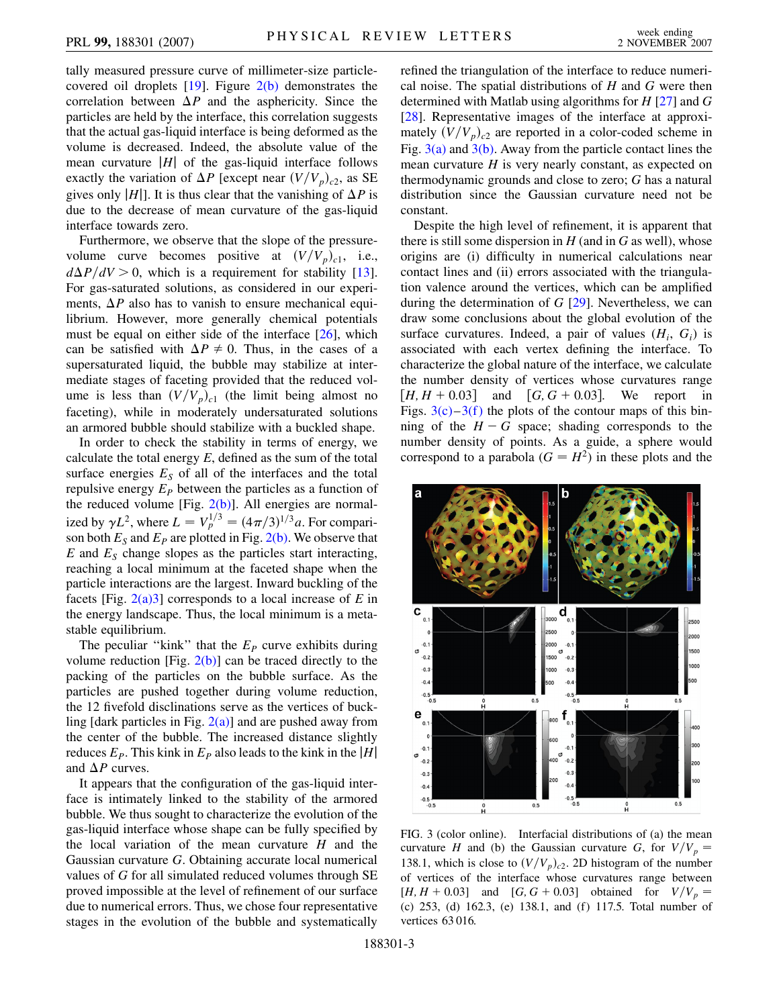tally measured pressure curve of millimeter-size particlecovered oil droplets  $[19]$  $[19]$  $[19]$ . Figure  $2(b)$  demonstrates the correlation between  $\Delta P$  and the asphericity. Since the particles are held by the interface, this correlation suggests that the actual gas-liquid interface is being deformed as the volume is decreased. Indeed, the absolute value of the mean curvature  $|H|$  of the gas-liquid interface follows exactly the variation of  $\Delta P$  [except near  $(V/V_p)_{c2}$ , as SE gives only  $|H|$ . It is thus clear that the vanishing of  $\Delta P$  is due to the decrease of mean curvature of the gas-liquid interface towards zero.

Furthermore, we observe that the slope of the pressurevolume curve becomes positive at  $(V/V_p)_{c1}$ , i.e.,  $d\Delta P/dV > 0$ , which is a requirement for stability [\[13\]](#page-3-12). For gas-saturated solutions, as considered in our experiments,  $\Delta P$  also has to vanish to ensure mechanical equilibrium. However, more generally chemical potentials must be equal on either side of the interface [\[26\]](#page-3-25), which can be satisfied with  $\Delta P \neq 0$ . Thus, in the cases of a supersaturated liquid, the bubble may stabilize at intermediate stages of faceting provided that the reduced volume is less than  $(V/V_p)_{c1}$  (the limit being almost no faceting), while in moderately undersaturated solutions an armored bubble should stabilize with a buckled shape.

In order to check the stability in terms of energy, we calculate the total energy *E*, defined as the sum of the total surface energies  $E<sub>S</sub>$  of all of the interfaces and the total repulsive energy  $E_P$  between the particles as a function of the reduced volume [Fig.  $2(b)$ ]. All energies are normalized by  $\gamma L^2$ , where  $L = V_p^{1/3} = (4\pi/3)^{1/3} a$ . For comparison both  $E_S$  and  $E_P$  are plotted in Fig. [2\(b\)](#page-1-1). We observe that  $E$  and  $E<sub>S</sub>$  change slopes as the particles start interacting, reaching a local minimum at the faceted shape when the particle interactions are the largest. Inward buckling of the facets [Fig. [2\(a\)3](#page-1-1)] corresponds to a local increase of *E* in the energy landscape. Thus, the local minimum is a metastable equilibrium.

The peculiar "kink" that the  $E_p$  curve exhibits during volume reduction [Fig.  $2(b)$ ] can be traced directly to the packing of the particles on the bubble surface. As the particles are pushed together during volume reduction, the 12 fivefold disclinations serve as the vertices of buckling [dark particles in Fig.  $2(a)$ ] and are pushed away from the center of the bubble. The increased distance slightly reduces  $E_P$ . This kink in  $E_P$  also leads to the kink in the |*H*| and  $\Delta P$  curves.

It appears that the configuration of the gas-liquid interface is intimately linked to the stability of the armored bubble. We thus sought to characterize the evolution of the gas-liquid interface whose shape can be fully specified by the local variation of the mean curvature *H* and the Gaussian curvature *G*. Obtaining accurate local numerical values of *G* for all simulated reduced volumes through SE proved impossible at the level of refinement of our surface due to numerical errors. Thus, we chose four representative stages in the evolution of the bubble and systematically refined the triangulation of the interface to reduce numerical noise. The spatial distributions of *H* and *G* were then determined with Matlab using algorithms for *H* [\[27\]](#page-3-26) and *G* [\[28\]](#page-3-27). Representative images of the interface at approximately  $(V/V_p)_{c2}$  are reported in a color-coded scheme in Fig.  $3(a)$  and  $3(b)$ . Away from the particle contact lines the mean curvature *H* is very nearly constant, as expected on thermodynamic grounds and close to zero; *G* has a natural distribution since the Gaussian curvature need not be constant.

Despite the high level of refinement, it is apparent that there is still some dispersion in *H* (and in *G* as well), whose origins are (i) difficulty in numerical calculations near contact lines and (ii) errors associated with the triangulation valence around the vertices, which can be amplified during the determination of *G* [\[29\]](#page-3-28). Nevertheless, we can draw some conclusions about the global evolution of the surface curvatures. Indeed, a pair of values  $(H_i, G_i)$  is associated with each vertex defining the interface. To characterize the global nature of the interface, we calculate the number density of vertices whose curvatures range  $[H, H + 0.03]$  and [ We report in Figs.  $3(c)$ –3(f) the plots of the contour maps of this binning of the  $H - G$  space; shading corresponds to the number density of points. As a guide, a sphere would correspond to a parabola  $(G = H^2)$  in these plots and the



<span id="page-2-0"></span>FIG. 3 (color online). Interfacial distributions of (a) the mean curvature *H* and (b) the Gaussian curvature *G*, for  $V/V_p =$ 138.1, which is close to  $(V/V_p)_{c2}$ . 2D histogram of the number of vertices of the interface whose curvatures range between  $[H, H + 0.03]$  and  $[G, G + 0.03]$  obtained for  $V/V_p =$ (c) 253, (d) 162.3, (e) 138.1, and (f) 117.5. Total number of vertices 63 016.